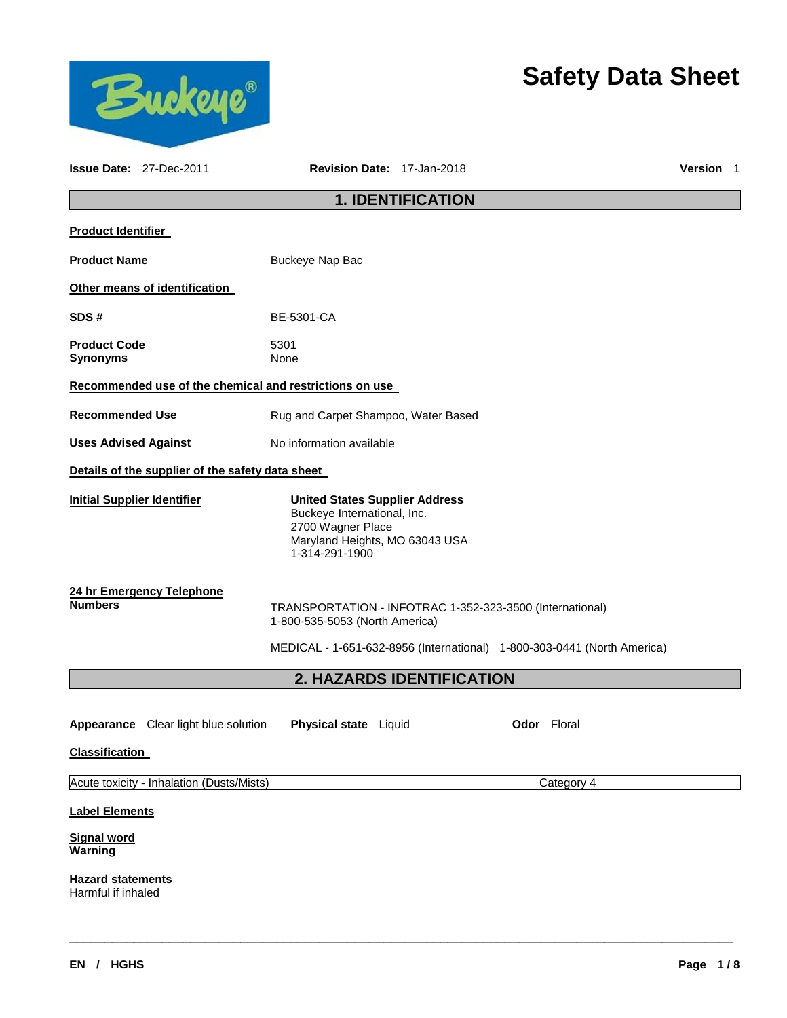

# **Safety Data Sheet**

|                                                         | <b>Issue Date: 27-Dec-2011</b>                          | Revision Date: 17-Jan-2018                                                                                                                    |                          |                                                                         | <b>Version</b> 1 |
|---------------------------------------------------------|---------------------------------------------------------|-----------------------------------------------------------------------------------------------------------------------------------------------|--------------------------|-------------------------------------------------------------------------|------------------|
|                                                         |                                                         |                                                                                                                                               | <b>1. IDENTIFICATION</b> |                                                                         |                  |
| <b>Product Identifier</b>                               |                                                         |                                                                                                                                               |                          |                                                                         |                  |
| <b>Product Name</b>                                     |                                                         | Buckeye Nap Bac                                                                                                                               |                          |                                                                         |                  |
|                                                         | Other means of identification                           |                                                                                                                                               |                          |                                                                         |                  |
| SDS#                                                    |                                                         | <b>BE-5301-CA</b>                                                                                                                             |                          |                                                                         |                  |
| <b>Product Code</b><br>Synonyms                         |                                                         | 5301<br>None                                                                                                                                  |                          |                                                                         |                  |
|                                                         | Recommended use of the chemical and restrictions on use |                                                                                                                                               |                          |                                                                         |                  |
| <b>Recommended Use</b>                                  |                                                         | Rug and Carpet Shampoo, Water Based                                                                                                           |                          |                                                                         |                  |
| <b>Uses Advised Against</b>                             |                                                         | No information available                                                                                                                      |                          |                                                                         |                  |
|                                                         | Details of the supplier of the safety data sheet        |                                                                                                                                               |                          |                                                                         |                  |
| <b>Initial Supplier Identifier</b>                      |                                                         | <b>United States Supplier Address</b><br>Buckeye International, Inc.<br>2700 Wagner Place<br>Maryland Heights, MO 63043 USA<br>1-314-291-1900 |                          |                                                                         |                  |
| <b>Numbers</b>                                          | 24 hr Emergency Telephone                               | TRANSPORTATION - INFOTRAC 1-352-323-3500 (International)<br>1-800-535-5053 (North America)                                                    |                          | MEDICAL - 1-651-632-8956 (International) 1-800-303-0441 (North America) |                  |
|                                                         |                                                         | 2. HAZARDS IDENTIFICATION                                                                                                                     |                          |                                                                         |                  |
| <b>Classification</b>                                   | <b>Appearance</b> Clear light blue solution             | Physical state Liquid                                                                                                                         |                          | <b>Odor</b> Floral                                                      |                  |
| Acute toxicity - Inhalation (Dusts/Mists)<br>Category 4 |                                                         |                                                                                                                                               |                          |                                                                         |                  |
| <b>Label Elements</b>                                   |                                                         |                                                                                                                                               |                          |                                                                         |                  |
| <b>Signal word</b><br>Warning                           |                                                         |                                                                                                                                               |                          |                                                                         |                  |
| <b>Hazard statements</b><br>Harmful if inhaled          |                                                         |                                                                                                                                               |                          |                                                                         |                  |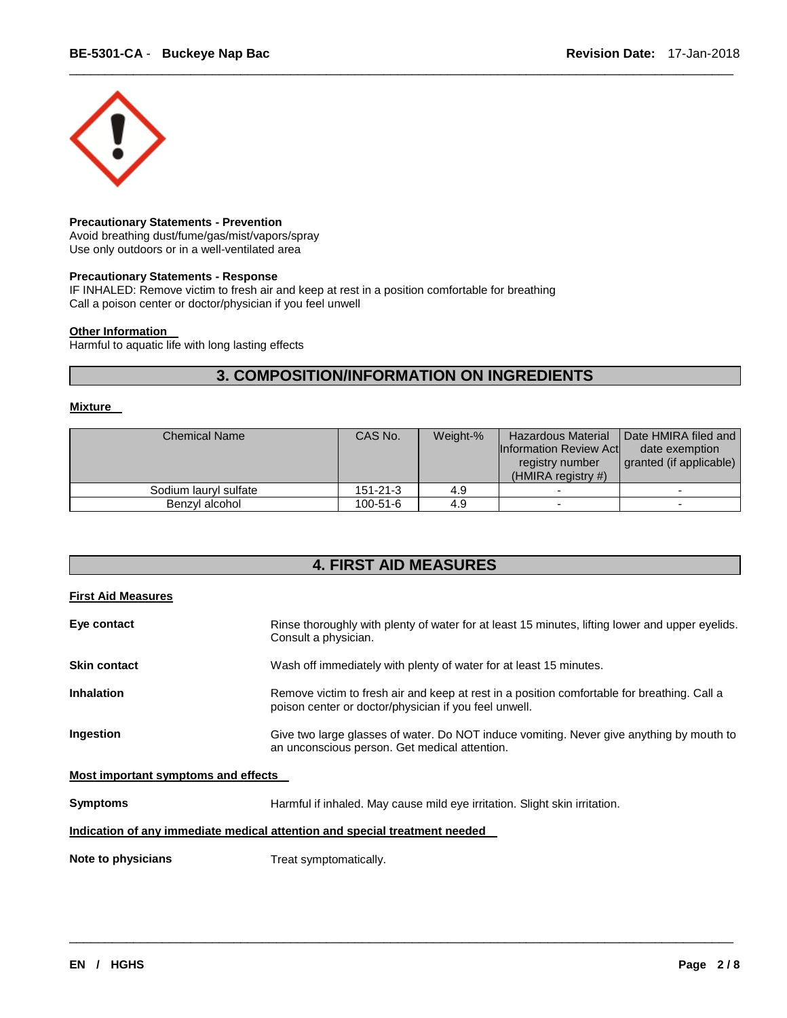

#### **Precautionary Statements - Prevention**

Avoid breathing dust/fume/gas/mist/vapors/spray Use only outdoors or in a well-ventilated area

#### **Precautionary Statements - Response**

IF INHALED: Remove victim to fresh air and keep at rest in a position comfortable for breathing Call a poison center or doctor/physician if you feel unwell

### **Other Information**

Harmful to aquatic life with long lasting effects

# **3. COMPOSITION/INFORMATION ON INGREDIENTS**

\_\_\_\_\_\_\_\_\_\_\_\_\_\_\_\_\_\_\_\_\_\_\_\_\_\_\_\_\_\_\_\_\_\_\_\_\_\_\_\_\_\_\_\_\_\_\_\_\_\_\_\_\_\_\_\_\_\_\_\_\_\_\_\_\_\_\_\_\_\_\_\_\_\_\_\_\_\_\_\_\_\_\_\_\_\_\_\_\_\_\_\_\_

#### **Mixture**

| <b>Chemical Name</b>  | CAS No.        | Weight-% | <b>Hazardous Material</b><br><b>Information Review Act</b><br>registry number<br>(HMIRA registry $#$ ) | Date HMIRA filed and<br>date exemption<br>granted (if applicable) |
|-----------------------|----------------|----------|--------------------------------------------------------------------------------------------------------|-------------------------------------------------------------------|
| Sodium lauryl sulfate | $151 - 21 - 3$ | 4.9      |                                                                                                        |                                                                   |
| Benzvl alcohol        | $100 - 51 - 6$ | 4.9      | -                                                                                                      |                                                                   |

# **4. FIRST AID MEASURES**

#### **First Aid Measures**

| <b>Symptoms</b>                     | Harmful if inhaled. May cause mild eye irritation. Slight skin irritation.<br>Indication of any immediate medical attention and special treatment needed |
|-------------------------------------|----------------------------------------------------------------------------------------------------------------------------------------------------------|
| Most important symptoms and effects |                                                                                                                                                          |
|                                     |                                                                                                                                                          |
| Ingestion                           | Give two large glasses of water. Do NOT induce vomiting. Never give anything by mouth to<br>an unconscious person. Get medical attention.                |
| <b>Inhalation</b>                   | Remove victim to fresh air and keep at rest in a position comfortable for breathing. Call a<br>poison center or doctor/physician if you feel unwell.     |
| <b>Skin contact</b>                 | Wash off immediately with plenty of water for at least 15 minutes.                                                                                       |
| Eye contact                         | Rinse thoroughly with plenty of water for at least 15 minutes, lifting lower and upper eyelids.<br>Consult a physician.                                  |
|                                     |                                                                                                                                                          |

\_\_\_\_\_\_\_\_\_\_\_\_\_\_\_\_\_\_\_\_\_\_\_\_\_\_\_\_\_\_\_\_\_\_\_\_\_\_\_\_\_\_\_\_\_\_\_\_\_\_\_\_\_\_\_\_\_\_\_\_\_\_\_\_\_\_\_\_\_\_\_\_\_\_\_\_\_\_\_\_\_\_\_\_\_\_\_\_\_\_\_\_\_

**Note to physicians Treat symptomatically.**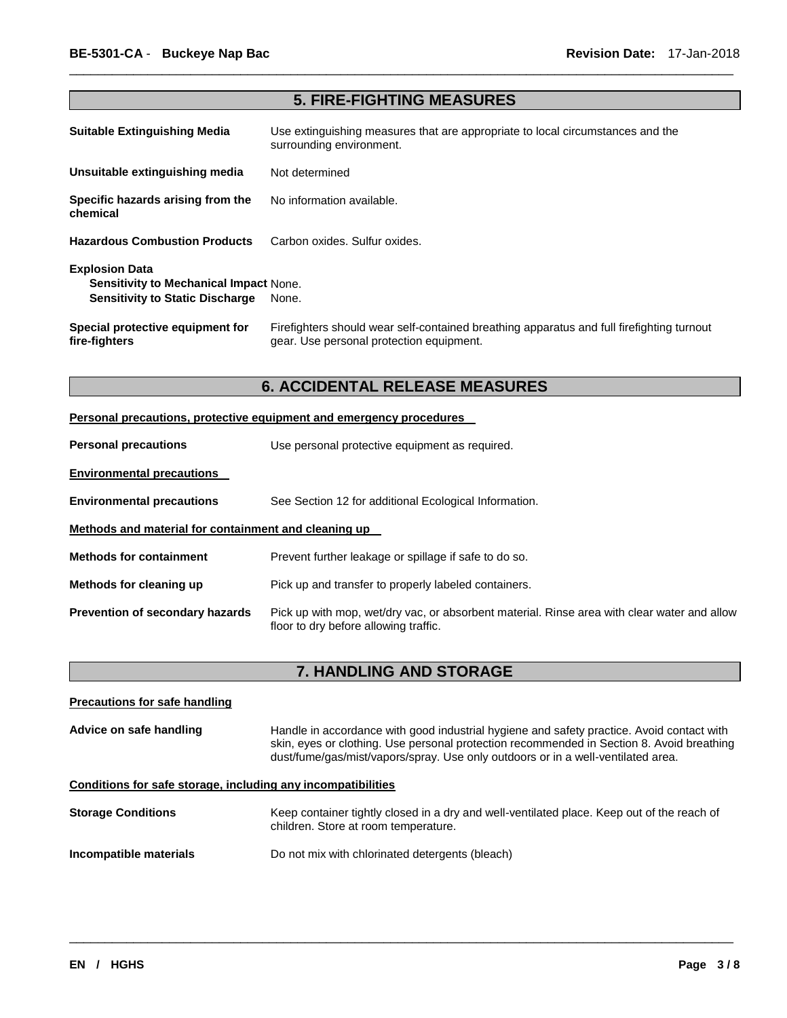| <b>5. FIRE-FIGHTING MEASURES</b>                                                                                 |                                                                                                                                       |  |
|------------------------------------------------------------------------------------------------------------------|---------------------------------------------------------------------------------------------------------------------------------------|--|
| <b>Suitable Extinguishing Media</b>                                                                              | Use extinguishing measures that are appropriate to local circumstances and the<br>surrounding environment.                            |  |
| Unsuitable extinguishing media                                                                                   | Not determined                                                                                                                        |  |
| Specific hazards arising from the<br>chemical                                                                    | No information available.                                                                                                             |  |
| <b>Hazardous Combustion Products</b>                                                                             | Carbon oxides. Sulfur oxides.                                                                                                         |  |
| <b>Explosion Data</b><br><b>Sensitivity to Mechanical Impact None.</b><br><b>Sensitivity to Static Discharge</b> | None.                                                                                                                                 |  |
| Special protective equipment for<br>fire-fighters                                                                | Firefighters should wear self-contained breathing apparatus and full firefighting turnout<br>gear. Use personal protection equipment. |  |

\_\_\_\_\_\_\_\_\_\_\_\_\_\_\_\_\_\_\_\_\_\_\_\_\_\_\_\_\_\_\_\_\_\_\_\_\_\_\_\_\_\_\_\_\_\_\_\_\_\_\_\_\_\_\_\_\_\_\_\_\_\_\_\_\_\_\_\_\_\_\_\_\_\_\_\_\_\_\_\_\_\_\_\_\_\_\_\_\_\_\_\_\_

# **6. ACCIDENTAL RELEASE MEASURES**

| Personal precautions, protective equipment and emergency procedures |                                                                                                                                      |  |  |
|---------------------------------------------------------------------|--------------------------------------------------------------------------------------------------------------------------------------|--|--|
| <b>Personal precautions</b>                                         | Use personal protective equipment as required.                                                                                       |  |  |
| <b>Environmental precautions</b>                                    |                                                                                                                                      |  |  |
| <b>Environmental precautions</b>                                    | See Section 12 for additional Ecological Information.                                                                                |  |  |
| Methods and material for containment and cleaning up                |                                                                                                                                      |  |  |
| <b>Methods for containment</b>                                      | Prevent further leakage or spillage if safe to do so.                                                                                |  |  |
| Methods for cleaning up                                             | Pick up and transfer to properly labeled containers.                                                                                 |  |  |
| <b>Prevention of secondary hazards</b>                              | Pick up with mop, wet/dry vac, or absorbent material. Rinse area with clear water and allow<br>floor to dry before allowing traffic. |  |  |

# **7. HANDLING AND STORAGE**

| <b>Precautions for safe handling</b>                         |                                                                                                                                                                                                                                                                            |
|--------------------------------------------------------------|----------------------------------------------------------------------------------------------------------------------------------------------------------------------------------------------------------------------------------------------------------------------------|
| Advice on safe handling                                      | Handle in accordance with good industrial hygiene and safety practice. Avoid contact with<br>skin, eyes or clothing. Use personal protection recommended in Section 8. Avoid breathing<br>dust/fume/gas/mist/vapors/spray. Use only outdoors or in a well-ventilated area. |
| Conditions for safe storage, including any incompatibilities |                                                                                                                                                                                                                                                                            |
| <b>Storage Conditions</b>                                    | Keep container tightly closed in a dry and well-ventilated place. Keep out of the reach of<br>children. Store at room temperature.                                                                                                                                         |
| Incompatible materials                                       | Do not mix with chlorinated detergents (bleach)                                                                                                                                                                                                                            |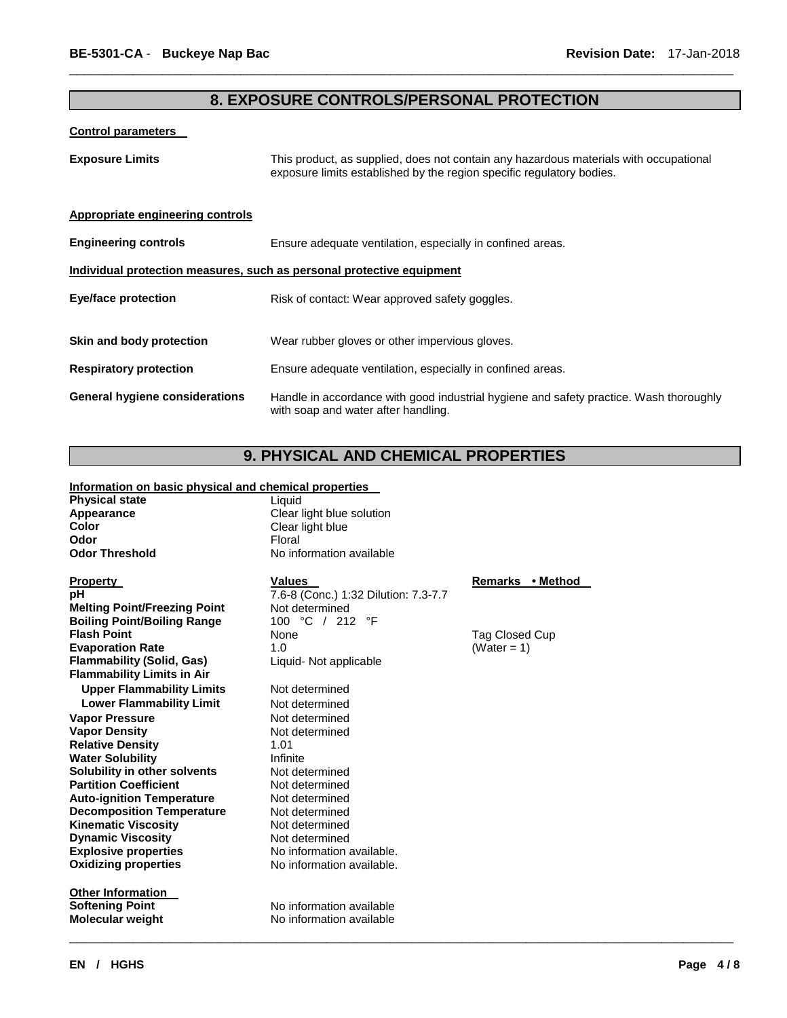# **8. EXPOSURE CONTROLS/PERSONAL PROTECTION**

\_\_\_\_\_\_\_\_\_\_\_\_\_\_\_\_\_\_\_\_\_\_\_\_\_\_\_\_\_\_\_\_\_\_\_\_\_\_\_\_\_\_\_\_\_\_\_\_\_\_\_\_\_\_\_\_\_\_\_\_\_\_\_\_\_\_\_\_\_\_\_\_\_\_\_\_\_\_\_\_\_\_\_\_\_\_\_\_\_\_\_\_\_

#### **Control parameters**

| <b>Exposure Limits</b>                                                | This product, as supplied, does not contain any hazardous materials with occupational<br>exposure limits established by the region specific regulatory bodies. |  |  |  |
|-----------------------------------------------------------------------|----------------------------------------------------------------------------------------------------------------------------------------------------------------|--|--|--|
| Appropriate engineering controls                                      |                                                                                                                                                                |  |  |  |
| <b>Engineering controls</b>                                           | Ensure adequate ventilation, especially in confined areas.                                                                                                     |  |  |  |
| Individual protection measures, such as personal protective equipment |                                                                                                                                                                |  |  |  |
| <b>Eye/face protection</b>                                            | Risk of contact: Wear approved safety goggles.                                                                                                                 |  |  |  |
| Skin and body protection                                              | Wear rubber gloves or other impervious gloves.                                                                                                                 |  |  |  |
| <b>Respiratory protection</b>                                         | Ensure adequate ventilation, especially in confined areas.                                                                                                     |  |  |  |
| <b>General hygiene considerations</b>                                 | Handle in accordance with good industrial hygiene and safety practice. Wash thoroughly<br>with soap and water after handling.                                  |  |  |  |

# **9. PHYSICAL AND CHEMICAL PROPERTIES**

### **Information on basic physical and chemical properties**

| <b>Physical state</b> | Liquid |  |
|-----------------------|--------|--|

| . . <i>.</i><br>Appearance |  |  |
|----------------------------|--|--|
| Color                      |  |  |
| Odor                       |  |  |
| <b>Odor Threshold</b>      |  |  |

**Property CONSERVITY IN THE VALUES CONSERVITY Remarks** • Method **Melting Point/Freezing Point** Not determined<br> **Boiling Point/Boiling Range** 100 °C / 212 °F **Boiling Point/Boiling Range 100 Provident** Range **Provident** Research **Flammability (Solid, Gas)** Liquid- Not applicable **Flammability Limits in Air Upper Flammability Limits** Not determined **Lower Flammability Limit** Not determined **Vapor Pressure Not determined Vapor Density** Not determined **Relative Density 1.01**<br> **Water Solubility National System Water Solubility <br>
Solubility in other solvents** Not determined **Solubility in other solvents Partition Coefficient Not determined**<br> **Auto-ignition Temperature** Not determined **Auto-ignition Temperature Decomposition Temperature** Not determined **Kinematic Viscosity Not determined Dynamic Viscosity Not determined Explosive properties** No information available. **Oxidizing properties** No information available. **Other Information** 

**Appearance** Clear light blue solution **Color** Clear light blue **Floral No information available** 

**pH**  $\overline{7.6-8}$  (Conc.) 1:32 Dilution: 7.3-7.7<br> **Melting Point/Freezing Point** Not determined **Evaporation Rate 1.0** (Water = 1)

**Softening Point No information available Molecular weight** No information available

\_\_\_\_\_\_\_\_\_\_\_\_\_\_\_\_\_\_\_\_\_\_\_\_\_\_\_\_\_\_\_\_\_\_\_\_\_\_\_\_\_\_\_\_\_\_\_\_\_\_\_\_\_\_\_\_\_\_\_\_\_\_\_\_\_\_\_\_\_\_\_\_\_\_\_\_\_\_\_\_\_\_\_\_\_\_\_\_\_\_\_\_\_

**Tag Closed Cup**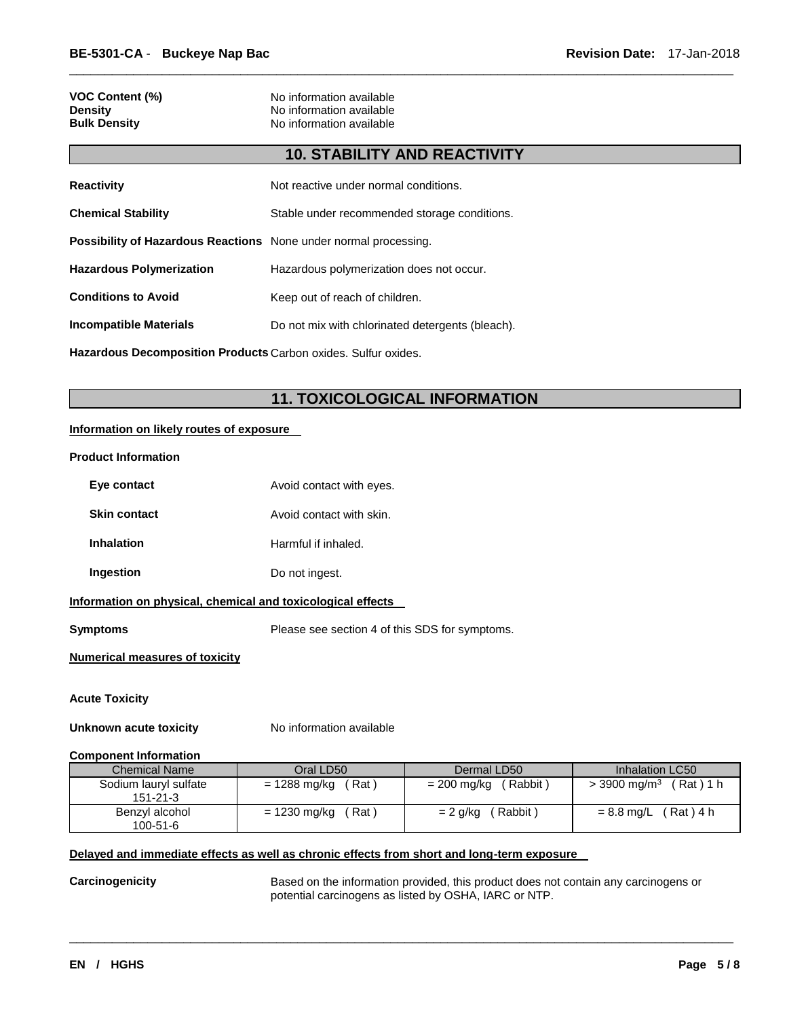| VOC Content (%)     |  |
|---------------------|--|
| Densitv             |  |
| <b>Bulk Density</b> |  |

**No information available No information available No information available** 

# **10. STABILITY AND REACTIVITY**

\_\_\_\_\_\_\_\_\_\_\_\_\_\_\_\_\_\_\_\_\_\_\_\_\_\_\_\_\_\_\_\_\_\_\_\_\_\_\_\_\_\_\_\_\_\_\_\_\_\_\_\_\_\_\_\_\_\_\_\_\_\_\_\_\_\_\_\_\_\_\_\_\_\_\_\_\_\_\_\_\_\_\_\_\_\_\_\_\_\_\_\_\_

| <b>Reactivity</b>                                                       | Not reactive under normal conditions.            |
|-------------------------------------------------------------------------|--------------------------------------------------|
| <b>Chemical Stability</b>                                               | Stable under recommended storage conditions.     |
| <b>Possibility of Hazardous Reactions</b> None under normal processing. |                                                  |
| <b>Hazardous Polymerization</b>                                         | Hazardous polymerization does not occur.         |
| <b>Conditions to Avoid</b>                                              | Keep out of reach of children.                   |
| <b>Incompatible Materials</b>                                           | Do not mix with chlorinated detergents (bleach). |
|                                                                         |                                                  |

**Hazardous Decomposition Products** Carbon oxides. Sulfur oxides.

# **11. TOXICOLOGICAL INFORMATION**

#### **Information on likely routes of exposure**

#### **Product Information**

| Eye contact                                                 | Avoid contact with eyes. |                                                |                                      |  |  |
|-------------------------------------------------------------|--------------------------|------------------------------------------------|--------------------------------------|--|--|
| <b>Skin contact</b>                                         | Avoid contact with skin. |                                                |                                      |  |  |
| <b>Inhalation</b>                                           | Harmful if inhaled.      |                                                |                                      |  |  |
| Ingestion                                                   | Do not ingest.           |                                                |                                      |  |  |
| Information on physical, chemical and toxicological effects |                          |                                                |                                      |  |  |
| Symptoms                                                    |                          | Please see section 4 of this SDS for symptoms. |                                      |  |  |
| <b>Numerical measures of toxicity</b>                       |                          |                                                |                                      |  |  |
| <b>Acute Toxicity</b><br>Unknown acute toxicity             | No information available |                                                |                                      |  |  |
| <b>Component Information</b>                                |                          |                                                |                                      |  |  |
| <b>Chemical Name</b>                                        | Oral LD50                | Dermal LD50                                    | Inhalation LC50                      |  |  |
| Sodium lauryl sulfate<br>$151 - 21 - 3$                     | = 1288 mg/kg<br>(Rat)    | $= 200$ mg/kg (Rabbit)                         | $>$ 3900 mg/m <sup>3</sup> (Rat) 1 h |  |  |
| Benzyl alcohol                                              | = 1230 mg/kg<br>Rat)     | $= 2$ g/kg<br>Rabbit)                          | $(Rat)$ 4 h<br>$= 8.8$ mg/L          |  |  |

### **Delayed and immediate effects as well as chronic effects from short and long-term exposure**

100-51-6

**Carcinogenicity** Based on the information provided, this product does not contain any carcinogens or potential carcinogens as listed by OSHA, IARC or NTP.

\_\_\_\_\_\_\_\_\_\_\_\_\_\_\_\_\_\_\_\_\_\_\_\_\_\_\_\_\_\_\_\_\_\_\_\_\_\_\_\_\_\_\_\_\_\_\_\_\_\_\_\_\_\_\_\_\_\_\_\_\_\_\_\_\_\_\_\_\_\_\_\_\_\_\_\_\_\_\_\_\_\_\_\_\_\_\_\_\_\_\_\_\_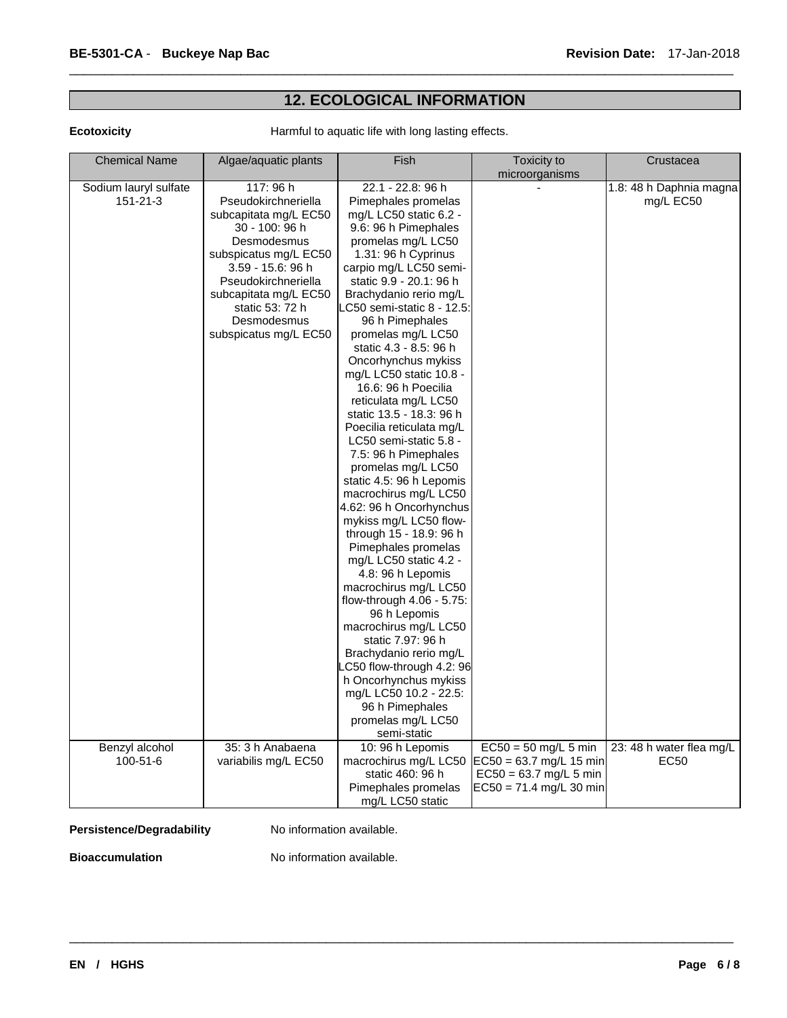# **12. ECOLOGICAL INFORMATION**

\_\_\_\_\_\_\_\_\_\_\_\_\_\_\_\_\_\_\_\_\_\_\_\_\_\_\_\_\_\_\_\_\_\_\_\_\_\_\_\_\_\_\_\_\_\_\_\_\_\_\_\_\_\_\_\_\_\_\_\_\_\_\_\_\_\_\_\_\_\_\_\_\_\_\_\_\_\_\_\_\_\_\_\_\_\_\_\_\_\_\_\_\_

**Ecotoxicity Harmful to aquatic life with long lasting effects.** 

| <b>Chemical Name</b>  | Algae/aquatic plants  | Fish                                       | Toxicity to               | Crustacea                |
|-----------------------|-----------------------|--------------------------------------------|---------------------------|--------------------------|
|                       |                       |                                            | microorganisms            |                          |
| Sodium lauryl sulfate | 117:96 h              | 22.1 - 22.8: 96 h                          |                           | 1.8: 48 h Daphnia magna  |
| 151-21-3              | Pseudokirchneriella   | Pimephales promelas                        |                           | mg/L EC50                |
|                       | subcapitata mg/L EC50 | mg/L LC50 static 6.2 -                     |                           |                          |
|                       | 30 - 100: 96 h        | 9.6: 96 h Pimephales                       |                           |                          |
|                       | Desmodesmus           | promelas mg/L LC50                         |                           |                          |
|                       | subspicatus mg/L EC50 | 1.31: 96 h Cyprinus                        |                           |                          |
|                       | 3.59 - 15.6: 96 h     | carpio mg/L LC50 semi-                     |                           |                          |
|                       | Pseudokirchneriella   | static 9.9 - 20.1: 96 h                    |                           |                          |
|                       | subcapitata mg/L EC50 | Brachydanio rerio mg/L                     |                           |                          |
|                       | static 53: 72 h       | LC50 semi-static 8 - 12.5:                 |                           |                          |
|                       | Desmodesmus           | 96 h Pimephales                            |                           |                          |
|                       | subspicatus mg/L EC50 | promelas mg/L LC50                         |                           |                          |
|                       |                       | static 4.3 - 8.5: 96 h                     |                           |                          |
|                       |                       | Oncorhynchus mykiss                        |                           |                          |
|                       |                       | mg/L LC50 static 10.8 -                    |                           |                          |
|                       |                       | 16.6: 96 h Poecilia                        |                           |                          |
|                       |                       | reticulata mg/L LC50                       |                           |                          |
|                       |                       | static 13.5 - 18.3: 96 h                   |                           |                          |
|                       |                       | Poecilia reticulata mg/L                   |                           |                          |
|                       |                       | LC50 semi-static 5.8 -                     |                           |                          |
|                       |                       | 7.5: 96 h Pimephales                       |                           |                          |
|                       |                       | promelas mg/L LC50                         |                           |                          |
|                       |                       | static 4.5: 96 h Lepomis                   |                           |                          |
|                       |                       | macrochirus mg/L LC50                      |                           |                          |
|                       |                       | 4.62: 96 h Oncorhynchus                    |                           |                          |
|                       |                       | mykiss mg/L LC50 flow-                     |                           |                          |
|                       |                       | through 15 - 18.9: 96 h                    |                           |                          |
|                       |                       | Pimephales promelas                        |                           |                          |
|                       |                       | mg/L LC50 static 4.2 -                     |                           |                          |
|                       |                       | 4.8: 96 h Lepomis<br>macrochirus mg/L LC50 |                           |                          |
|                       |                       | flow-through $4.06 - 5.75$ :               |                           |                          |
|                       |                       | 96 h Lepomis                               |                           |                          |
|                       |                       | macrochirus mg/L LC50                      |                           |                          |
|                       |                       | static 7.97: 96 h                          |                           |                          |
|                       |                       | Brachydanio rerio mg/L                     |                           |                          |
|                       |                       | C50 flow-through 4.2: 96                   |                           |                          |
|                       |                       | h Oncorhynchus mykiss                      |                           |                          |
|                       |                       | mg/L LC50 10.2 - 22.5:                     |                           |                          |
|                       |                       | 96 h Pimephales                            |                           |                          |
|                       |                       | promelas mg/L LC50                         |                           |                          |
|                       |                       | semi-static                                |                           |                          |
| Benzyl alcohol        | 35: 3 h Anabaena      | 10: 96 h Lepomis                           | $EC50 = 50$ mg/L 5 min    | 23: 48 h water flea mg/L |
| 100-51-6              | variabilis mg/L EC50  | macrochirus mg/L LC50                      | $EC50 = 63.7$ mg/L 15 min | EC50                     |
|                       |                       | static 460: 96 h                           | $EC50 = 63.7$ mg/L 5 min  |                          |
|                       |                       | Pimephales promelas                        | $EC50 = 71.4$ mg/L 30 min |                          |
|                       |                       | mg/L LC50 static                           |                           |                          |

### Persistence/Degradability No information available.

**Bioaccumulation No information available.**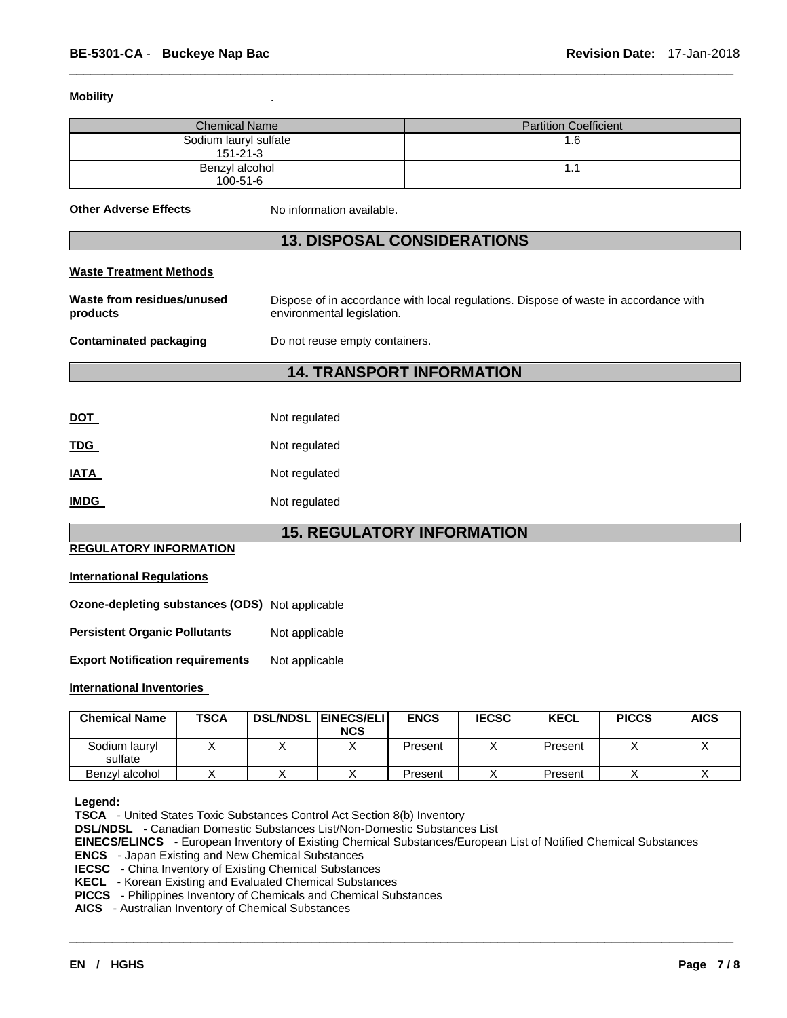#### **Mobility** .

| <b>Chemical Name</b>                    | <b>Partition Coefficient</b> |
|-----------------------------------------|------------------------------|
| Sodium lauryl sulfate<br>$151 - 21 - 3$ | ة. ا                         |
| Benzyl alcohol<br>$100 - 51 - 6$        |                              |

\_\_\_\_\_\_\_\_\_\_\_\_\_\_\_\_\_\_\_\_\_\_\_\_\_\_\_\_\_\_\_\_\_\_\_\_\_\_\_\_\_\_\_\_\_\_\_\_\_\_\_\_\_\_\_\_\_\_\_\_\_\_\_\_\_\_\_\_\_\_\_\_\_\_\_\_\_\_\_\_\_\_\_\_\_\_\_\_\_\_\_\_\_

**Other Adverse Effects** No information available.

# **13. DISPOSAL CONSIDERATIONS**

#### **Waste Treatment Methods**

| Waste from residues/unused<br>products | Dispose of in accordance with local regulations. Dispose of waste in accordance with<br>environmental legislation. |  |  |  |  |
|----------------------------------------|--------------------------------------------------------------------------------------------------------------------|--|--|--|--|
| Contaminated packaging                 | Do not reuse empty containers.                                                                                     |  |  |  |  |
| <b>14. TRANSPORT INFORMATION</b>       |                                                                                                                    |  |  |  |  |

| DOT  | Not regulated |
|------|---------------|
| TDG  | Not regulated |
| IATA | Not regulated |
| IMDG | Not regulated |

# **15. REGULATORY INFORMATION**

## **REGULATORY INFORMATION**

### **International Regulations**

|  | Ozone-depleting substances (ODS) Not applicable |  |
|--|-------------------------------------------------|--|
|--|-------------------------------------------------|--|

**Persistent Organic Pollutants** Not applicable

**Export Notification requirements** Not applicable

#### **International Inventories**

| <b>Chemical Name</b>     | TSCA | <b>DSL/NDSL</b> | <b>EINECS/ELI</b><br><b>NCS</b> | <b>ENCS</b> | <b>IECSC</b> | <b>KECL</b> | <b>PICCS</b> | <b>AICS</b> |
|--------------------------|------|-----------------|---------------------------------|-------------|--------------|-------------|--------------|-------------|
| Sodium lauryl<br>sulfate |      |                 |                                 | Present     |              | Present     |              |             |
| Benzvl alcohol           |      |                 |                                 | Present     |              | Present     |              |             |

#### **Legend:**

**TSCA** - United States Toxic Substances Control Act Section 8(b) Inventory

**DSL/NDSL** - Canadian Domestic Substances List/Non-Domestic Substances List

**EINECS/ELINCS** - European Inventory of Existing Chemical Substances/European List of Notified Chemical Substances

\_\_\_\_\_\_\_\_\_\_\_\_\_\_\_\_\_\_\_\_\_\_\_\_\_\_\_\_\_\_\_\_\_\_\_\_\_\_\_\_\_\_\_\_\_\_\_\_\_\_\_\_\_\_\_\_\_\_\_\_\_\_\_\_\_\_\_\_\_\_\_\_\_\_\_\_\_\_\_\_\_\_\_\_\_\_\_\_\_\_\_\_\_

**ENCS** - Japan Existing and New Chemical Substances

**IECSC** - China Inventory of Existing Chemical Substances

**KECL** - Korean Existing and Evaluated Chemical Substances

**PICCS** - Philippines Inventory of Chemicals and Chemical Substances

**AICS** - Australian Inventory of Chemical Substances